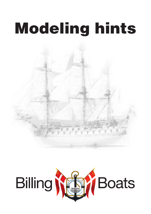# Modeling hints

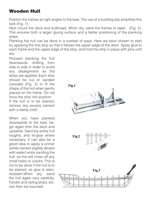## Wooden Hull

Position the frames at right angles to the keel. The use of a building slip simplifies this task (Fig. 1).

Next mount the deck and bulkhead. When dry, sand the frames to taper (Fig. 2). This ensures both a larger gluing surface and a better positioning of the planking strips.

Planking the hull can be done in a number of ways. Here we have chosen to start by applying the first strip so that it follows the upper edge of the deck. Apply glue to each frame and the upper edge of the strip, and hold the strip in place with pins until dry.

Proceed planking the hull downwards, shifting from side to side in order to avoid any disalignment as the strips are applied. Each strip should be cut or sanded conically (Fig. 3) to fit the shape of the hull when gently placed on the frame. Do not force the strip into position. If the hull is to be stained, remove any excess cement with a damp cloth.

When you have planked downwards to the keel, begin again from the deck and upwards. Sand the entire hull roughly, and re-glue where necessary. It can also be a good idea to apply a primer (white cement slightly diluted with water) while sanding the hull, as this will close off any small holes or cracks. This is not to be done if the hull is to be stained, as glue is stainresistant.When dry, sand the hull again very carefully. Fender and railing strips, etc. can then be mounted.

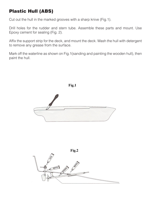# Plastic Hull (ABS)

Cut out the hull in the marked grooves with a sharp knive (Fig.1).

Drill holes for the rudder and stern tube. Assemble these parts and mount. Use Epoxy cement for sealing (Fig. 2).

Affix the support strip for the deck, and mount the deck. Wash the hull with detergent to remove any grease from the surface.

Mark off the waterline as shown on Fig.1(sanding and painting the wooden hull), then paint the hull.



Fig.1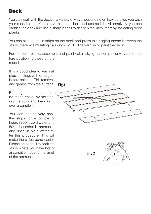#### Deck

You can work with the deck in a variety of ways, depending on how detailed you wish your model to be. You can varnish the deck and use as it is. Alternatively, you can varnish the deck and use a sharp pencil to deepen the lines, thereby indicating deck planks.

You can also glue thin strips on the deck and press thin rigging thread between the strips, thereby simulating caulking (Fig. 1). The varnish or paint the deck.

For the best results, assemble and paint cabin skylights, companionways, etc. before positioning these on the model.

It is a good idea to wash all plastic fittings with detergent before painting. This removes any grease from the surface.

Bending strips to shape can be made easier by moistening the strip and bending it over a candle flame.

You can alternatively soak the strips for a couple of hours in 50% cold water and 50% household ammonia, and rinse in plain water after this procedure. This will make the strips bend easier. Please be carefull to soak the strips where you have lots of aircondition, due to the smell of the ammonia.

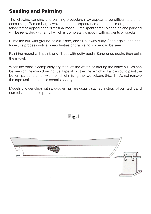# Sanding and Painting

The following sanding and painting procedure may appear to be difficult and timeconsuming. Remember, however, that the appearance of the hull is of great importance for the appearance of the final model. Time spent carefully sanding and painting will be rewarded with a hull which is completely smooth, with no dents or cracks.

Prime the hull with ground colour. Sand, and fill out with putty. Sand again, and continue this process until all irregularities or cracks no longer can be seen.

Paint the model with paint, and fill out with putty again. Sand once again, then paint the model.

When the paint is completely dry mark off the waterline aroung the entire hull, as can be seen on the main drawing. Set tape along the line, which will allow you to paint the bottom part of the hull with no risk of mixing the two colours (Fig. 1). Do not remove the tape until the paint is completely dry.

Models of older ships with a wooden hull are usually stained instead of painted. Sand carefully; do not use putty.

Fig.1

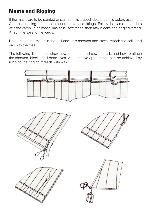# Masts and Rigging

If the masts are to be painted or stained, it is a good idea to do this before assembly. After assembling the masts, mount the various fittings. Follow the same procedure with the yards. If the model has sails, sew these, then affix blocks and rigging thread. Attach the sails to the yards.

Next, mount the masts in the hull and affix shrouds and stays. Attach the sails and yards to the mast.

The following illustrations show how to cut out and sew the sails and how to attach the shrouds, blocks and dead-eyes. An attractive appearance can be achieved by rubbing the rigging threads with wax.

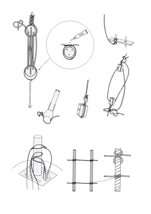